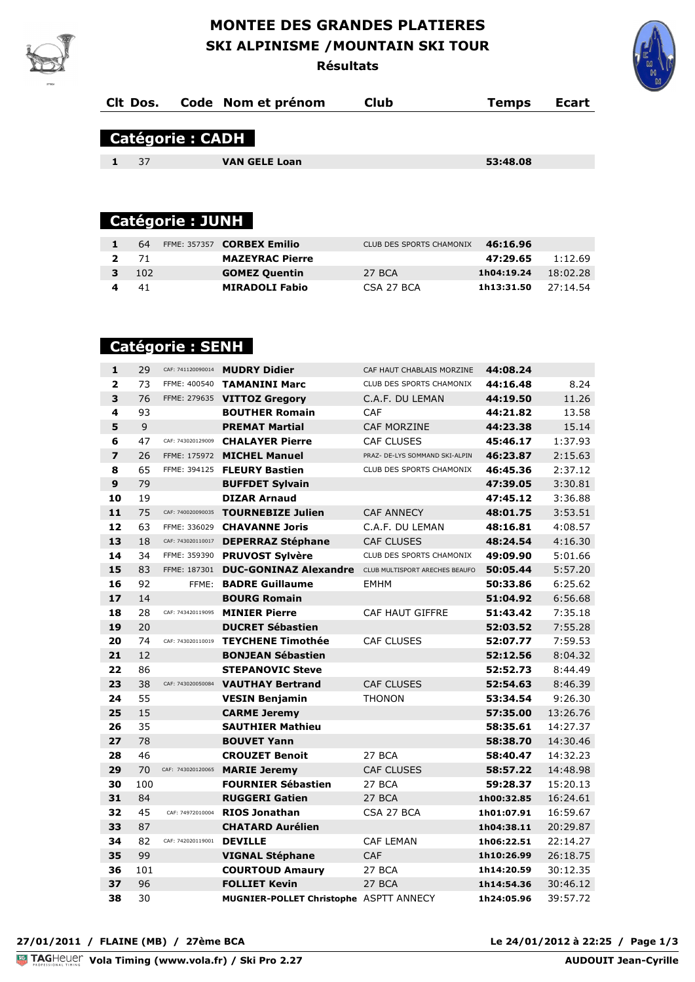### **MONTEE DES GRANDES PLATIERES SKI ALPINISME /MOUNTAIN SKI TOUR Résultats**



|                        | CIt Dos. |                        | Code Nom et prénom   | <b>Club</b> | <b>Temps</b> | Ecart |  |
|------------------------|----------|------------------------|----------------------|-------------|--------------|-------|--|
|                        |          | <b>Catégorie: CADH</b> |                      |             |              |       |  |
|                        | 37       |                        | <b>VAN GELE Loan</b> |             | 53:48.08     |       |  |
|                        |          |                        |                      |             |              |       |  |
|                        |          |                        |                      |             |              |       |  |
| <b>Catégorie: JUNH</b> |          |                        |                      |             |              |       |  |

|   | 64        | FFME: 357357 <b>CORBEX Emilio</b> | CLUB DES SPORTS CHAMONIX | 46:16.96              |          |
|---|-----------|-----------------------------------|--------------------------|-----------------------|----------|
|   | $2 \t 71$ | <b>MAZEYRAC Pierre</b>            |                          | 47:29.65              | 1:12.69  |
| 3 | -102      | <b>GOMEZ Quentin</b>              | 27 BCA                   | 1h04:19.24            | 18:02.28 |
|   | -41       | <b>MIRADOLI Fabio</b>             | CSA 27 BCA               | 1h13:31.50 $27:14.54$ |          |

# **Catégorie : SENH**

| $\mathbf{1}$            | 29  | CAF: 741120090014 | <b>MUDRY Didier</b>                                         | CAF HAUT CHABLAIS MORZINE      | 44:08.24   |          |
|-------------------------|-----|-------------------|-------------------------------------------------------------|--------------------------------|------------|----------|
| $\overline{\mathbf{2}}$ | 73  |                   | FFME: 400540 TAMANINI Marc                                  | CLUB DES SPORTS CHAMONIX       | 44:16.48   | 8.24     |
| 3                       | 76  |                   | FFME: 279635 VITTOZ Gregory                                 | C.A.F. DU LEMAN                | 44:19.50   | 11.26    |
| $\overline{\mathbf{4}}$ | 93  |                   | <b>BOUTHER Romain</b>                                       | CAF                            | 44:21.82   | 13.58    |
| 5                       | 9   |                   | <b>PREMAT Martial</b>                                       | <b>CAF MORZINE</b>             | 44:23.38   | 15.14    |
| 6                       | 47  | CAF: 743020129009 | <b>CHALAYER Pierre</b>                                      | <b>CAF CLUSES</b>              | 45:46.17   | 1:37.93  |
| $\overline{ }$          | 26  |                   | FFME: 175972 MICHEL Manuel                                  | PRAZ- DE-LYS SOMMAND SKI-ALPIN | 46:23.87   | 2:15.63  |
| 8                       | 65  |                   | FFME: 394125 FLEURY Bastien                                 | CLUB DES SPORTS CHAMONIX       | 46:45.36   | 2:37.12  |
| 9                       | 79  |                   | <b>BUFFDET Sylvain</b>                                      |                                | 47:39.05   | 3:30.81  |
| 10                      | 19  |                   | <b>DIZAR Arnaud</b>                                         |                                | 47:45.12   | 3:36.88  |
| 11                      | 75  | CAF: 740020090035 | <b>TOURNEBIZE Julien</b>                                    | <b>CAF ANNECY</b>              | 48:01.75   | 3:53.51  |
| 12                      | 63  | FFME: 336029      | <b>CHAVANNE Joris</b>                                       | C.A.F. DU LEMAN                | 48:16.81   | 4:08.57  |
| 13                      | 18  | CAF: 743020110017 | <b>DEPERRAZ Stéphane</b>                                    | <b>CAF CLUSES</b>              | 48:24.54   | 4:16.30  |
| 14                      | 34  | FFME: 359390      | <b>PRUVOST Sylvère</b>                                      | CLUB DES SPORTS CHAMONIX       | 49:09.90   | 5:01.66  |
| 15                      | 83  | FFME: 187301      | <b>DUC-GONINAZ Alexandre</b> CLUB MULTISPORT ARECHES BEAUFO |                                | 50:05.44   | 5:57.20  |
| 16                      | 92  | FFME:             | <b>BADRE Guillaume</b>                                      | <b>EMHM</b>                    | 50:33.86   | 6:25.62  |
| 17                      | 14  |                   | <b>BOURG Romain</b>                                         |                                | 51:04.92   | 6:56.68  |
| 18                      | 28  | CAF: 743420119095 | <b>MINIER Pierre</b>                                        | CAF HAUT GIFFRE                | 51:43.42   | 7:35.18  |
| 19                      | 20  |                   | <b>DUCRET Sébastien</b>                                     |                                | 52:03.52   | 7:55.28  |
| 20                      | 74  | CAF: 743020110019 | <b>TEYCHENE Timothée</b>                                    | <b>CAF CLUSES</b>              | 52:07.77   | 7:59.53  |
| 21                      | 12  |                   | <b>BONJEAN Sébastien</b>                                    |                                | 52:12.56   | 8:04.32  |
| 22                      | 86  |                   | <b>STEPANOVIC Steve</b>                                     |                                | 52:52.73   | 8:44.49  |
| 23                      | 38  | CAF: 743020050084 | <b>VAUTHAY Bertrand</b>                                     | <b>CAF CLUSES</b>              | 52:54.63   | 8:46.39  |
| 24                      | 55  |                   | <b>VESIN Benjamin</b>                                       | <b>THONON</b>                  | 53:34.54   | 9:26.30  |
| 25                      | 15  |                   | <b>CARME Jeremy</b>                                         |                                | 57:35.00   | 13:26.76 |
| 26                      | 35  |                   | <b>SAUTHIER Mathieu</b>                                     |                                | 58:35.61   | 14:27.37 |
| 27                      | 78  |                   | <b>BOUVET Yann</b>                                          |                                | 58:38.70   | 14:30.46 |
| 28                      | 46  |                   | <b>CROUZET Benoit</b>                                       | 27 BCA                         | 58:40.47   | 14:32.23 |
| 29                      | 70  | CAF: 743020120065 | <b>MARIE Jeremy</b>                                         | <b>CAF CLUSES</b>              | 58:57.22   | 14:48.98 |
| 30                      | 100 |                   | <b>FOURNIER Sébastien</b>                                   | 27 BCA                         | 59:28.37   | 15:20.13 |
| 31                      | 84  |                   | <b>RUGGERI Gatien</b>                                       | 27 BCA                         | 1h00:32.85 | 16:24.61 |
| 32                      | 45  | CAF: 74972010004  | <b>RIOS Jonathan</b>                                        | CSA 27 BCA                     | 1h01:07.91 | 16:59.67 |
| 33                      | 87  |                   | <b>CHATARD Aurélien</b>                                     |                                | 1h04:38.11 | 20:29.87 |
| 34                      | 82  | CAF: 742020119001 | <b>DEVILLE</b>                                              | <b>CAF LEMAN</b>               | 1h06:22.51 | 22:14.27 |
| 35                      | 99  |                   | <b>VIGNAL Stéphane</b>                                      | <b>CAF</b>                     | 1h10:26.99 | 26:18.75 |
| 36                      | 101 |                   | <b>COURTOUD Amaury</b>                                      | 27 BCA                         | 1h14:20.59 | 30:12.35 |
| 37                      | 96  |                   | <b>FOLLIET Kevin</b>                                        | 27 BCA                         | 1h14:54.36 | 30:46.12 |
| 38                      | 30  |                   | MUGNIER-POLLET Christophe ASPTT ANNECY                      |                                | 1h24:05.96 | 39:57.72 |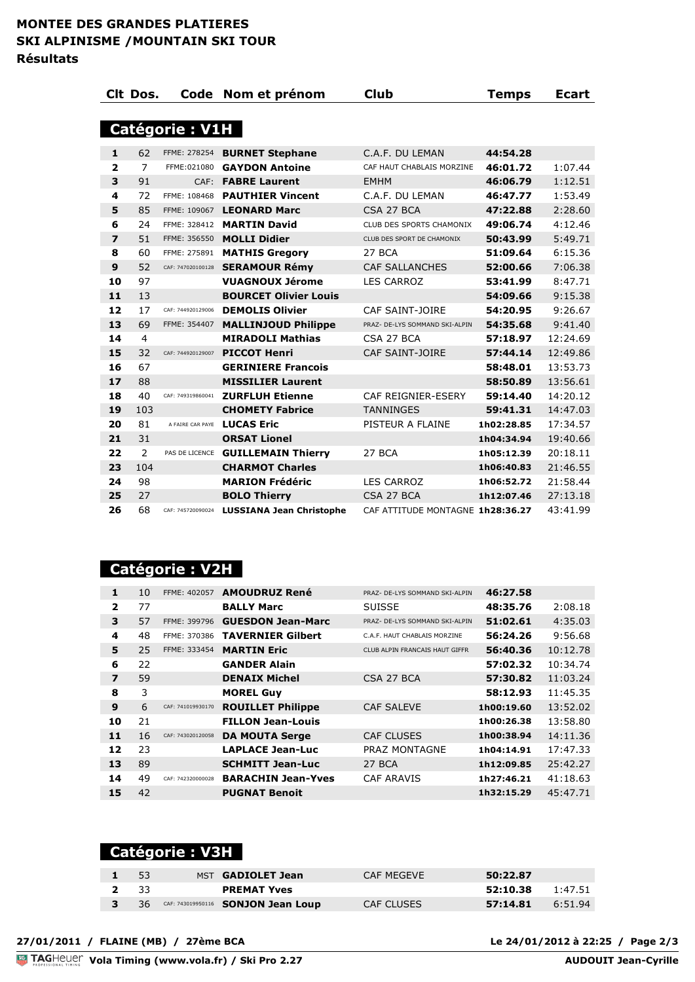|                         | CIt Dos.       |                   | Code Nom et prénom              | <b>Club</b>                      | Temps      | <b>Ecart</b> |  |  |
|-------------------------|----------------|-------------------|---------------------------------|----------------------------------|------------|--------------|--|--|
|                         |                |                   |                                 |                                  |            |              |  |  |
| <b>Catégorie : V1H</b>  |                |                   |                                 |                                  |            |              |  |  |
| 1                       | 62             |                   | FFME: 278254 BURNET Stephane    | C.A.F. DU LEMAN                  | 44:54.28   |              |  |  |
| $\overline{\mathbf{2}}$ | $\overline{7}$ | FFME: 021080      | <b>GAYDON Antoine</b>           | CAF HAUT CHABLAIS MORZINE        | 46:01.72   | 1:07.44      |  |  |
| 3                       | 91             |                   | CAF: FABRE Laurent              | <b>EMHM</b>                      | 46:06.79   | 1:12.51      |  |  |
| 4                       | 72             | FFME: 108468      | <b>PAUTHIER Vincent</b>         | C.A.F. DU LEMAN                  | 46:47.77   | 1:53.49      |  |  |
| 5                       | 85             | FFME: 109067      | <b>LEONARD Marc</b>             | CSA 27 BCA                       | 47:22.88   | 2:28.60      |  |  |
| 6                       | 24             | FFME: 328412      | <b>MARTIN David</b>             | <b>CLUB DES SPORTS CHAMONIX</b>  | 49:06.74   | 4:12.46      |  |  |
| $\overline{z}$          | 51             |                   | FFME: 356550 MOLLI Didier       | CLUB DES SPORT DE CHAMONIX       | 50:43.99   | 5:49.71      |  |  |
| 8                       | 60             | FFME: 275891      | <b>MATHIS Gregory</b>           | 27 BCA                           | 51:09.64   | 6:15.36      |  |  |
| 9                       | 52             | CAF: 747020100128 | <b>SERAMOUR Rémy</b>            | <b>CAF SALLANCHES</b>            | 52:00.66   | 7:06.38      |  |  |
| 10                      | 97             |                   | <b>VUAGNOUX Jérome</b>          | <b>LES CARROZ</b>                | 53:41.99   | 8:47.71      |  |  |
| 11                      | 13             |                   | <b>BOURCET Olivier Louis</b>    |                                  | 54:09.66   | 9:15.38      |  |  |
| 12                      | 17             | CAF: 744920129006 | <b>DEMOLIS Olivier</b>          | <b>CAF SAINT-JOIRE</b>           | 54:20.95   | 9:26.67      |  |  |
| 13                      | 69             | FFME: 354407      | <b>MALLINJOUD Philippe</b>      | PRAZ- DE-LYS SOMMAND SKI-ALPIN   | 54:35.68   | 9:41.40      |  |  |
| 14                      | 4              |                   | <b>MIRADOLI Mathias</b>         | CSA 27 BCA                       | 57:18.97   | 12:24.69     |  |  |
| 15                      | 32             | CAF: 744920129007 | <b>PICCOT Henri</b>             | <b>CAF SAINT-JOIRE</b>           | 57:44.14   | 12:49.86     |  |  |
| 16                      | 67             |                   | <b>GERINIERE Francois</b>       |                                  | 58:48.01   | 13:53.73     |  |  |
| 17                      | 88             |                   | <b>MISSILIER Laurent</b>        |                                  | 58:50.89   | 13:56.61     |  |  |
| 18                      | 40             | CAF: 749319860041 | <b>ZURFLUH Etienne</b>          | CAF REIGNIER-ESERY               | 59:14.40   | 14:20.12     |  |  |
| 19                      | 103            |                   | <b>CHOMETY Fabrice</b>          | <b>TANNINGES</b>                 | 59:41.31   | 14:47.03     |  |  |
| 20                      | 81             | A FAIRE CAR PAYE  | <b>LUCAS Eric</b>               | PISTEUR A FLAINE                 | 1h02:28.85 | 17:34.57     |  |  |
| 21                      | 31             |                   | <b>ORSAT Lionel</b>             |                                  | 1h04:34.94 | 19:40.66     |  |  |
| 22                      | $\overline{2}$ | PAS DE LICENCE    | <b>GUILLEMAIN Thierry</b>       | 27 BCA                           | 1h05:12.39 | 20:18.11     |  |  |
| 23                      | 104            |                   | <b>CHARMOT Charles</b>          |                                  | 1h06:40.83 | 21:46.55     |  |  |
| 24                      | 98             |                   | <b>MARION Frédéric</b>          | <b>LES CARROZ</b>                | 1h06:52.72 | 21:58.44     |  |  |
| 25                      | 27             |                   | <b>BOLO Thierry</b>             | CSA 27 BCA                       | 1h12:07.46 | 27:13.18     |  |  |
| 26                      | 68             | CAF: 745720090024 | <b>LUSSIANA Jean Christophe</b> | CAF ATTITUDE MONTAGNE 1h28:36.27 |            | 43:41.99     |  |  |

#### **Catégorie : V2H**

| $\mathbf{1}$            | 10 | FFME: 402057      | <b>AMOUDRUZ René</b>      | PRAZ- DE-LYS SOMMAND SKI-ALPIN | 46:27.58   |          |
|-------------------------|----|-------------------|---------------------------|--------------------------------|------------|----------|
| $\overline{2}$          | 77 |                   | <b>BALLY Marc</b>         | <b>SUISSE</b>                  | 48:35.76   | 2:08.18  |
| 3                       | 57 | FFME: 399796      | <b>GUESDON Jean-Marc</b>  | PRAZ- DE-LYS SOMMAND SKI-ALPIN | 51:02.61   | 4:35.03  |
| 4                       | 48 | FFME: 370386      | <b>TAVERNIER Gilbert</b>  | C.A.F. HAUT CHABLAIS MORZINE   | 56:24.26   | 9:56.68  |
| 5                       | 25 | FFME: 333454      | <b>MARTIN Eric</b>        | CLUB ALPIN FRANCAIS HAUT GIFFR | 56:40.36   | 10:12.78 |
| 6                       | 22 |                   | <b>GANDER Alain</b>       |                                | 57:02.32   | 10:34.74 |
| $\overline{\mathbf{z}}$ | 59 |                   | <b>DENAIX Michel</b>      | CSA 27 BCA                     | 57:30.82   | 11:03.24 |
| 8                       | 3  |                   | <b>MOREL Guy</b>          |                                | 58:12.93   | 11:45.35 |
| 9                       | 6  | CAF: 741019930170 | <b>ROUILLET Philippe</b>  | <b>CAF SALEVE</b>              | 1h00:19.60 | 13:52.02 |
| 10                      | 21 |                   | <b>FILLON Jean-Louis</b>  |                                | 1h00:26.38 | 13:58.80 |
| 11                      | 16 | CAF: 743020120058 | <b>DA MOUTA Serge</b>     | <b>CAF CLUSES</b>              | 1h00:38.94 | 14:11.36 |
| 12                      | 23 |                   | <b>LAPLACE Jean-Luc</b>   | PRAZ MONTAGNE                  | 1h04:14.91 | 17:47.33 |
| 13                      | 89 |                   | <b>SCHMITT Jean-Luc</b>   | 27 BCA                         | 1h12:09.85 | 25:42.27 |
| 14                      | 49 | CAF: 742320000028 | <b>BARACHIN Jean-Yves</b> | <b>CAF ARAVIS</b>              | 1h27:46.21 | 41:18.63 |
| 15                      | 42 |                   | <b>PUGNAT Benoit</b>      |                                | 1h32:15.29 | 45:47.71 |

## **Catégorie : V3H**

|      | $\sqrt{53}$ | MST <b>GADIOLET Jean</b>           | CAF MEGEVE | 50:22.87 |         |
|------|-------------|------------------------------------|------------|----------|---------|
| 2 33 |             | <b>PREMAT Yves</b>                 |            | 52:10.38 | 1:47.51 |
|      | - 36        | CAF: 743019950116 SONJON Jean Loup | CAF CLUSES | 57:14.81 | 6:51.94 |